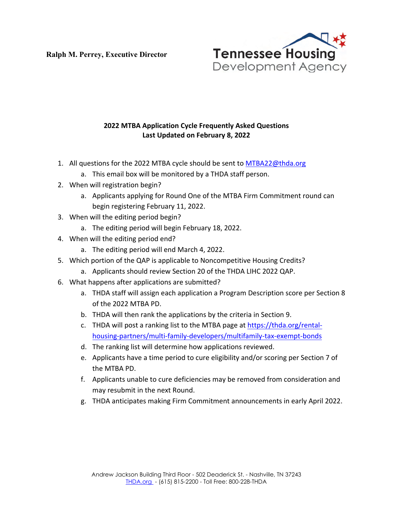**Ralph M. Perrey, Executive Director**



## **2022 MTBA Application Cycle Frequently Asked Questions Last Updated on February 8, 2022**

- 1. All questions for the 2022 MTBA cycle should be sent to [MTBA22@thda.org](mailto:MTBA22@thda.org) 
	- a. This email box will be monitored by a THDA staff person.
- 2. When will registration begin?
	- a. Applicants applying for Round One of the MTBA Firm Commitment round can begin registering February 11, 2022.
- 3. When will the editing period begin?
	- a. The editing period will begin February 18, 2022.
- 4. When will the editing period end?
	- a. The editing period will end March 4, 2022.
- 5. Which portion of the QAP is applicable to Noncompetitive Housing Credits?
	- a. Applicants should review Section 20 of the THDA LIHC 2022 QAP.
- 6. What happens after applications are submitted?
	- a. THDA staff will assign each application a Program Description score per Section 8 of the 2022 MTBA PD.
	- b. THDA will then rank the applications by the criteria in Section 9.
	- c. THDA will post a ranking list to the MTBA page at [https://thda.org/rental](https://thda.org/rental-housing-partners/multi-family-developers/multifamily-tax-exempt-bonds)[housing-partners/multi-family-developers/multifamily-tax-exempt-bonds](https://thda.org/rental-housing-partners/multi-family-developers/multifamily-tax-exempt-bonds)
	- d. The ranking list will determine how applications reviewed.
	- e. Applicants have a time period to cure eligibility and/or scoring per Section 7 of the MTBA PD.
	- f. Applicants unable to cure deficiencies may be removed from consideration and may resubmit in the next Round.
	- g. THDA anticipates making Firm Commitment announcements in early April 2022.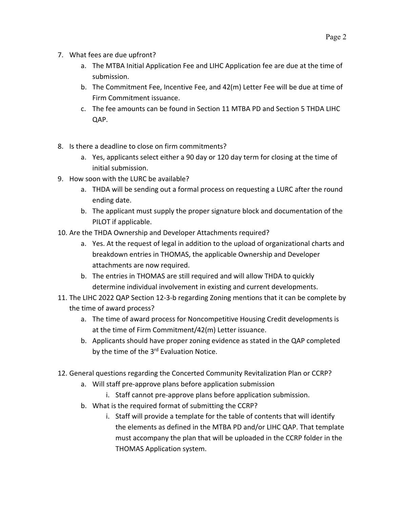- 7. What fees are due upfront?
	- a. The MTBA Initial Application Fee and LIHC Application fee are due at the time of submission.
	- b. The Commitment Fee, Incentive Fee, and 42(m) Letter Fee will be due at time of Firm Commitment issuance.
	- c. The fee amounts can be found in Section 11 MTBA PD and Section 5 THDA LIHC QAP.
- 8. Is there a deadline to close on firm commitments?
	- a. Yes, applicants select either a 90 day or 120 day term for closing at the time of initial submission.
- 9. How soon with the LURC be available?
	- a. THDA will be sending out a formal process on requesting a LURC after the round ending date.
	- b. The applicant must supply the proper signature block and documentation of the PILOT if applicable.
- 10. Are the THDA Ownership and Developer Attachments required?
	- a. Yes. At the request of legal in addition to the upload of organizational charts and breakdown entries in THOMAS, the applicable Ownership and Developer attachments are now required.
	- b. The entries in THOMAS are still required and will allow THDA to quickly determine individual involvement in existing and current developments.
- 11. The LIHC 2022 QAP Section 12-3-b regarding Zoning mentions that it can be complete by the time of award process?
	- a. The time of award process for Noncompetitive Housing Credit developments is at the time of Firm Commitment/42(m) Letter issuance.
	- b. Applicants should have proper zoning evidence as stated in the QAP completed by the time of the  $3<sup>rd</sup>$  Evaluation Notice.
- 12. General questions regarding the Concerted Community Revitalization Plan or CCRP?
	- a. Will staff pre-approve plans before application submission
		- i. Staff cannot pre-approve plans before application submission.
	- b. What is the required format of submitting the CCRP?
		- i. Staff will provide a template for the table of contents that will identify the elements as defined in the MTBA PD and/or LIHC QAP. That template must accompany the plan that will be uploaded in the CCRP folder in the THOMAS Application system.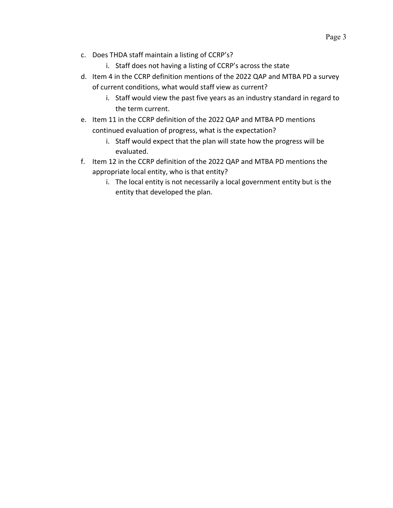- c. Does THDA staff maintain a listing of CCRP's?
	- i. Staff does not having a listing of CCRP's across the state
- d. Item 4 in the CCRP definition mentions of the 2022 QAP and MTBA PD a survey of current conditions, what would staff view as current?
	- i. Staff would view the past five years as an industry standard in regard to the term current.
- e. Item 11 in the CCRP definition of the 2022 QAP and MTBA PD mentions continued evaluation of progress, what is the expectation?
	- i. Staff would expect that the plan will state how the progress will be evaluated.
- f. Item 12 in the CCRP definition of the 2022 QAP and MTBA PD mentions the appropriate local entity, who is that entity?
	- i. The local entity is not necessarily a local government entity but is the entity that developed the plan.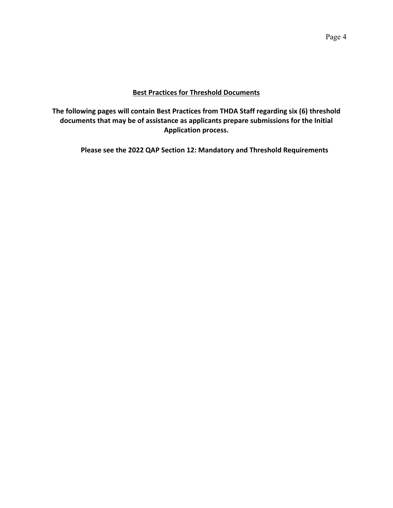### **Best Practices for Threshold Documents**

**The following pages will contain Best Practices from THDA Staff regarding six (6) threshold documents that may be of assistance as applicants prepare submissions for the Initial Application process.**

**Please see the 2022 QAP Section 12: Mandatory and Threshold Requirements**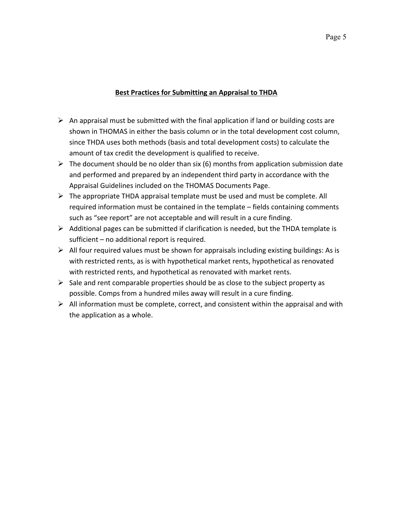# Page 5

#### **Best Practices for Submitting an Appraisal to THDA**

- $\triangleright$  An appraisal must be submitted with the final application if land or building costs are shown in THOMAS in either the basis column or in the total development cost column, since THDA uses both methods (basis and total development costs) to calculate the amount of tax credit the development is qualified to receive.
- $\triangleright$  The document should be no older than six (6) months from application submission date and performed and prepared by an independent third party in accordance with the Appraisal Guidelines included on the THOMAS Documents Page.
- $\triangleright$  The appropriate THDA appraisal template must be used and must be complete. All required information must be contained in the template – fields containing comments such as "see report" are not acceptable and will result in a cure finding.
- $\triangleright$  Additional pages can be submitted if clarification is needed, but the THDA template is sufficient – no additional report is required.
- $\triangleright$  All four required values must be shown for appraisals including existing buildings: As is with restricted rents, as is with hypothetical market rents, hypothetical as renovated with restricted rents, and hypothetical as renovated with market rents.
- $\triangleright$  Sale and rent comparable properties should be as close to the subject property as possible. Comps from a hundred miles away will result in a cure finding.
- $\triangleright$  All information must be complete, correct, and consistent within the appraisal and with the application as a whole.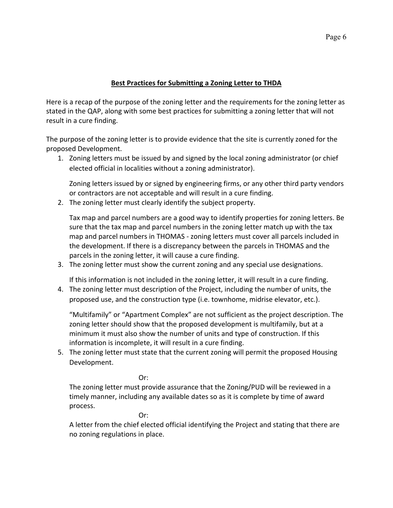## **Best Practices for Submitting a Zoning Letter to THDA**

Here is a recap of the purpose of the zoning letter and the requirements for the zoning letter as stated in the QAP, along with some best practices for submitting a zoning letter that will not result in a cure finding.

The purpose of the zoning letter is to provide evidence that the site is currently zoned for the proposed Development.

1. Zoning letters must be issued by and signed by the local zoning administrator (or chief elected official in localities without a zoning administrator).

Zoning letters issued by or signed by engineering firms, or any other third party vendors or contractors are not acceptable and will result in a cure finding.

2. The zoning letter must clearly identify the subject property.

Tax map and parcel numbers are a good way to identify properties for zoning letters. Be sure that the tax map and parcel numbers in the zoning letter match up with the tax map and parcel numbers in THOMAS - zoning letters must cover all parcels included in the development. If there is a discrepancy between the parcels in THOMAS and the parcels in the zoning letter, it will cause a cure finding.

3. The zoning letter must show the current zoning and any special use designations.

If this information is not included in the zoning letter, it will result in a cure finding.

4. The zoning letter must description of the Project, including the number of units, the proposed use, and the construction type (i.e. townhome, midrise elevator, etc.).

"Multifamily" or "Apartment Complex" are not sufficient as the project description. The zoning letter should show that the proposed development is multifamily, but at a minimum it must also show the number of units and type of construction. If this information is incomplete, it will result in a cure finding.

5. The zoning letter must state that the current zoning will permit the proposed Housing Development.

Or:

The zoning letter must provide assurance that the Zoning/PUD will be reviewed in a timely manner, including any available dates so as it is complete by time of award process.

**Or: Or:** 

A letter from the chief elected official identifying the Project and stating that there are no zoning regulations in place.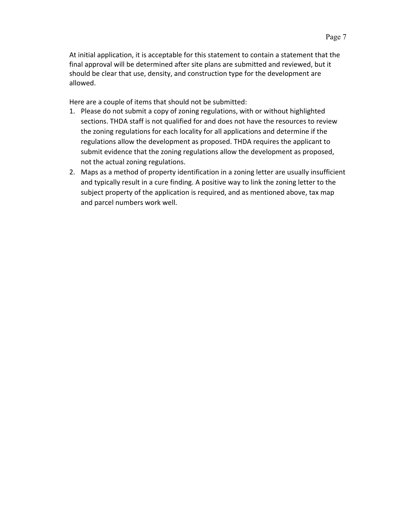At initial application, it is acceptable for this statement to contain a statement that the final approval will be determined after site plans are submitted and reviewed, but it should be clear that use, density, and construction type for the development are allowed.

Here are a couple of items that should not be submitted:

- 1. Please do not submit a copy of zoning regulations, with or without highlighted sections. THDA staff is not qualified for and does not have the resources to review the zoning regulations for each locality for all applications and determine if the regulations allow the development as proposed. THDA requires the applicant to submit evidence that the zoning regulations allow the development as proposed, not the actual zoning regulations.
- 2. Maps as a method of property identification in a zoning letter are usually insufficient and typically result in a cure finding. A positive way to link the zoning letter to the subject property of the application is required, and as mentioned above, tax map and parcel numbers work well.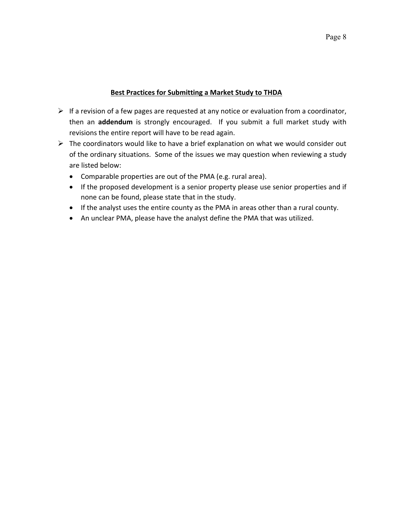#### **Best Practices for Submitting a Market Study to THDA**

- $\triangleright$  If a revision of a few pages are requested at any notice or evaluation from a coordinator, then an **addendum** is strongly encouraged. If you submit a full market study with revisions the entire report will have to be read again.
- $\triangleright$  The coordinators would like to have a brief explanation on what we would consider out of the ordinary situations. Some of the issues we may question when reviewing a study are listed below:
	- Comparable properties are out of the PMA (e.g. rural area).
	- If the proposed development is a senior property please use senior properties and if none can be found, please state that in the study.
	- If the analyst uses the entire county as the PMA in areas other than a rural county.
	- An unclear PMA, please have the analyst define the PMA that was utilized.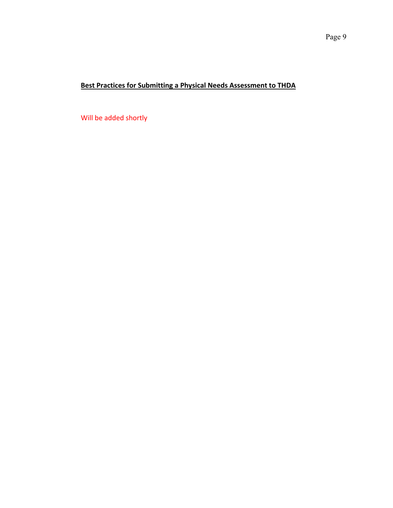## **Best Practices for Submitting a Physical Needs Assessment to THDA**

Will be added shortly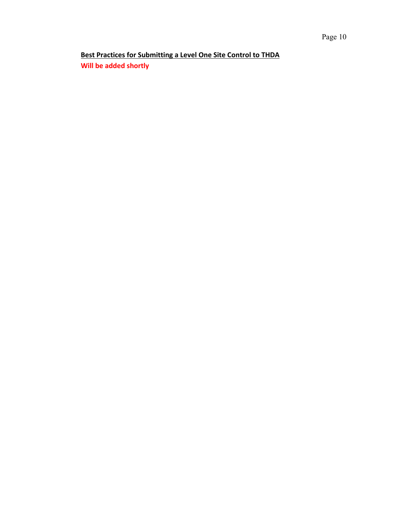**Best Practices for Submitting a Level One Site Control to THDA Will be added shortly**